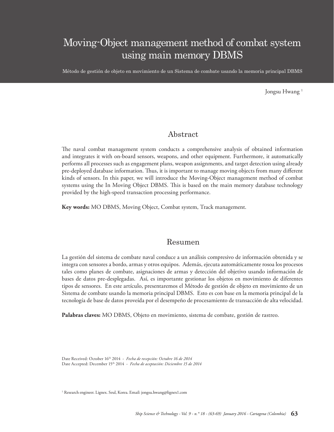# Moving-Object management method of combat system using main memory DBMS

Método de gestión de objeto en movimiento de un Sistema de combate usando la memoria principal DBMS

Jongsu Hwang<sup>1</sup>

### Abstract

The naval combat management system conducts a comprehensive analysis of obtained information and integrates it with on-board sensors, weapons, and other equipment. Furthermore, it automatically performs all processes such as engagement plans, weapon assignments, and target detection using already pre-deployed database information. Thus, it is important to manage moving objects from many different kinds of sensors. In this paper, we will introduce the Moving-Object management method of combat systems using the In Moving Object DBMS. This is based on the main memory database technology provided by the high-speed transaction processing performance.

**Key words:** MO DBMS, Moving Object, Combat system, Track management.

### Resumen

La gestión del sistema de combate naval conduce a un análisis compresivo de información obtenida y se integra con sensores a bordo, armas y otros equipos. Además, ejecuta automáticamente rosoa los procesos tales como planes de combate, asignaciones de armas y detección del objetivo usando información de bases de datos pre-desplegadas. Así, es importante gestionar los objetos en movimiento de diferentes tipos de sensores. En este artículo, presentaremos el Método de gestión de objeto en movimiento de un Sistema de combate usando la memoria principal DBMS. Esto es con base en la memoria principal de la tecnología de base de datos proveída por el desempeño de procesamiento de transacción de alta velocidad.

**Palabras claves:** MO DBMS, Objeto en movimiento, sistema de combate, gestión de rastreo.

Date Received: October 16th 2014 - *Fecha de recepción: Octubre 16 de 2014* Date Accepted: December 15<sup>th</sup> 2014 - *Fecha de aceptación: Diciembre 15 de 2014* 

1 Research engineer. Lignex. Seul, Korea. Email: jongsu.hwang@lignex1.com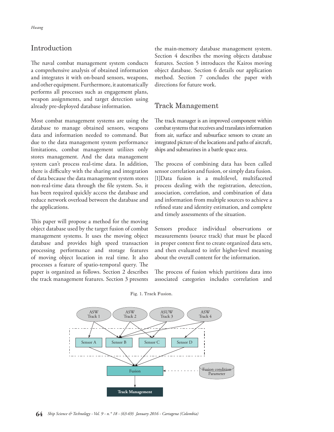### Introduction

The naval combat management system conducts a comprehensive analysis of obtained information and integrates it with on-board sensors, weapons, and other equipment. Furthermore, it automatically performs all processes such as engagement plans, weapon assignments, and target detection using already pre-deployed database information.

Most combat management systems are using the database to manage obtained sensors, weapons data and information needed to command. But due to the data management system performance limitations, combat management utilizes only stores management. And the data management system can't process real-time data. In addition, there is difficulty with the sharing and integration of data because the data management system stores non-real-time data through the file system. So, it has been required quickly access the database and reduce network overload between the database and the applications.

This paper will propose a method for the moving object database used by the target fusion of combat management systems. It uses the moving object database and provides high speed transaction processing performance and storage features of moving object location in real time. It also processes a feature of spatio-temporal query. The paper is organized as follows. Section 2 describes the track management features. Section 3 presents

the main-memory database management system. Section 4 describes the moving objects database features. Section 5 introduces the Kairos moving object database. Section 6 details our application method. Section 7 concludes the paper with directions for future work.

#### Track Management

The track manager is an improved component within combat systems that receives and translates information from air, surface and subsurface sensors to create an integrated picture of the locations and paths of aircraft, ships and submarines in a battle space area.

The process of combining data has been called sensor correlation and fusion, or simply data fusion. [1]Data fusion is a multilevel, multifaceted process dealing with the registration, detection, association, correlation, and combination of data and information from multiple sources to achieve a refined state and identity estimation, and complete and timely assessments of the situation.

Sensors produce individual observations or measurements (source track) that must be placed in proper context first to create organized data sets, and then evaluated to infer higher-level meaning about the overall content for the information.

The process of fusion which partitions data into associated categories includes correlation and

Fig. 1. Track Fusion.

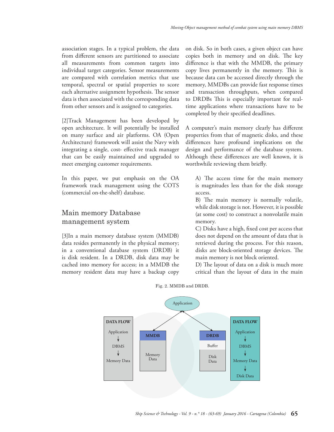association stages. In a typical problem, the data from different sensors are partitioned to associate all measurements from common targets into individual target categories. Sensor measurements are compared with correlation metrics that use temporal, spectral or spatial properties to score each alternative assignment hypothesis. The sensor data is then associated with the corresponding data from other sensors and is assigned to categories.

[2]Track Management has been developed by open architecture. It will potentially be installed on many surface and air platforms. OA (Open Architecture) framework will assist the Navy with integrating a single, cost- effective track manager that can be easily maintained and upgraded to meet emerging customer requirements.

In this paper, we put emphasis on the OA framework track management using the COTS (commercial on-the-shelf) database.

### Main memory Database management system

[3]In a main memory database system (MMDB) data resides permanently in the physical memory; in a conventional database system (DRDB) it is disk resident. In a DRDB, disk data may be cached into memory for access; in a MMDB the memory resident data may have a backup copy on disk. So in both cases, a given object can have copies both in memory and on disk. The key difference is that with the MMDB, the primary copy lives permanently in the memory. This is because data can be accessed directly through the memory, MMDBs can provide fast response times and transaction throughputs, when compared to DRDBs This is especially important for realtime applications where transactions have to be completed by their specified deadlines.

A computer's main memory clearly has different properties from that of magnetic disks, and these differences have profound implications on the design and performance of the database system. Although these differences are well known, it is worthwhile reviewing them briefly.

A) The access time for the main memory is magnitudes less than for the disk storage access.

B) The main memory is normally volatile, while disk storage is not. However, it is possible (at some cost) to construct a nonvolatile main memory.

C) Disks have a high, fixed cost per access that does not depend on the amount of data that is retrieved during the process. For this reason, disks are block-oriented storage devices. The main memory is not block oriented.

D) The layout of data on a disk is much more critical than the layout of data in the main



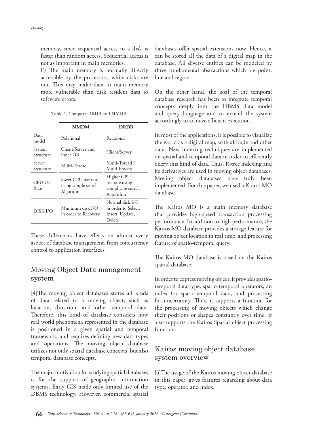memory, since sequential access to a disk is faster than random access. Sequential access is not as important in main memories.

E) The main memory is normally directly accessible by the processors, while disks are not. This may make data in main memory more vulnerable than disk resident data to software errors.

|                     | <b>MMDM</b>                                            | <b>DRDB</b>                                                         |  |  |
|---------------------|--------------------------------------------------------|---------------------------------------------------------------------|--|--|
| Data<br>model       | Relational                                             | Relational                                                          |  |  |
| System<br>Structure | Client/Server and<br>inner DB                          | Client/Server                                                       |  |  |
| Server<br>Structure | Multi-Thread                                           | Multi-Thread /<br>Multi-Process                                     |  |  |
| CPU Use<br>Rate     | lower CPU use rate<br>using simple search<br>Algorithm | Higher CPU<br>use rate using<br>complicate search<br>Algorithm      |  |  |
| DISK I/O            | Minimum disk I/O<br>in order to Recovery               | Normal disk I/O<br>in order to Select,<br>Insert, Update,<br>Delete |  |  |

These differences have effects on almost every aspect of database management, from concurrency control to application interfaces.

### Moving Object Data management system

[4]The moving object databases stores all kinds of data related to a moving object, such as location, direction, and other temporal data. Therefore, this kind of database considers how real world phenomena represented in the database is positioned in a given spatial and temporal framework, and requires defining new data types and operations. The moving object database utilizes not only spatial database concepts, but also temporal database concepts.

The major motivation for studying spatial databases is for the support of geographic information systems. Early GIS made only limited use of the DBMS technology. However, commercial spatial

databases offer spatial extensions now. Hence, it can be stored all the data of a digital map in the database. All diverse entities can be modeled by three fundamental abstractions which are point, line and region.

On the other hand, the goal of the temporal database research has been to integrate temporal concepts deeply into the DBMS data model and query language and to extend the system accordingly to achieve efficient execution.

In most of the applications, it is possible to visualize the world as a digital map, with altitude and other data. New indexing techniques are implemented on spatial and temporal data in order to efficiently query this kind of data. Thus, R-tree indexing and its derivatives are used in moving object databases. Moving object databases have fully been implemented. For this paper, we used a Kairos MO database.

The Kairos MO is a main memory database that provides high-speed transaction processing performance. In addition to high performance, the Kairos MO database provides a storage feature for moving object location in real time, and processing feature of spatio-temporal query.

The Kairos MO database is based on the Kairos spatial database.

In order to express moving object, it provides spatiotemporal data type, spatio-temporal operators, an index for spatio-temporal data, and processing for uncertainty. Thus, it supports a function for the processing of moving objects which change their positions or shapes constantly over time. It also supports the Kairos Spatial object processing function.

## Kairos moving object database system overview

[5]The usage of the Kairos moving object database in this paper, gives features regarding about data type, operator, and index.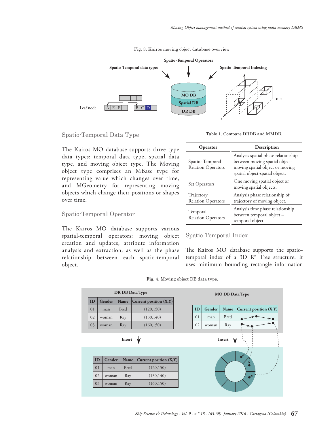



Spatio-Temporal Data Type

Table 1. Compare DRDB and MMDB.

The Kairos MO database supports three type data types: temporal data type, spatial data type, and moving object type. The Moving object type comprises an MBase type for representing value which changes over time, and MGeometry for representing moving objects which change their positions or shapes over time.

#### Spatio-Temporal Operator

The Kairos MO database supports various spatial-temporal operators: moving object creation and updates, attribute information analysis and extraction, as well as the phase relationship between each spatio-temporal object.

| <b>Operator</b>                              | Description                                                                                                                                |  |  |  |  |
|----------------------------------------------|--------------------------------------------------------------------------------------------------------------------------------------------|--|--|--|--|
| Spatio-Temporal<br><b>Relation Operators</b> | Analysis spatial phase relationship<br>between moving spatial object-<br>moving spatial object or moving<br>spatial object-spatial object. |  |  |  |  |
| Set Operators                                | One moving spatial object or<br>moving spatial objects.                                                                                    |  |  |  |  |
| Trajectory<br><b>Relation Operators</b>      | Analysis phase relationship of<br>trajectory of moving object.                                                                             |  |  |  |  |
| Temporal<br><b>Relation Operators</b>        | Analysis time phase relationship<br>between temporal object –<br>temporal object.                                                          |  |  |  |  |

#### Spatio-Temporal Index

The Kairos MO database supports the spatiotemporal index of a 3D R\* Tree structure. It uses minimum bounding rectangle information

Fig. 4. Moving object DB data type.

| DR DB Data Type |              |             | <b>MO DB Data Type</b>   |        |    |        |             |                          |
|-----------------|--------------|-------------|--------------------------|--------|----|--------|-------------|--------------------------|
| ID              | Gender       | Name        | Current position (X,Y)   |        |    |        |             |                          |
| 01              | man          | <b>Bred</b> | (120, 150)               |        | ID | Gender | Name        | Current position $(X,Y)$ |
| 02              | woman        | Ray         | (130, 140)               |        | 01 | man    | <b>Bred</b> |                          |
| 03              | woman        | Ray         | (160, 150)               |        | 02 | woman  | Ray         |                          |
|                 | Insert       |             |                          | Insert |    |        |             |                          |
|                 | ID<br>Gender | Name        | Current position $(X,Y)$ |        |    |        |             |                          |
| 01              | man          | <b>Bred</b> | (120, 150)               |        | ✔  |        |             |                          |
|                 | 02<br>woman  | Ray         | (130, 140)               |        |    |        |             |                          |
|                 | 03<br>woman  | Ray         | (160, 150)               |        |    |        |             |                          |
|                 |              |             |                          |        |    |        |             |                          |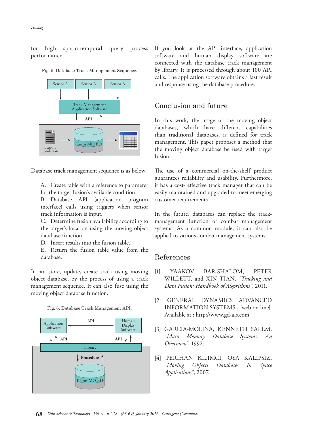for high spatio-temporal query process performance.



Fig. 5. Database Track Management Sequence.

Database track management sequence is as below

A. Create table with a reference to parameter for the target fusion's available condition.

B. Database API (application program interface) calls using triggers when sensor track information is input.

C. Determine fusion availability according to the target's location using the moving object database function.

D. Insert results into the fusion table.

E. Return the fusion table value from the database.

It can store, update, create track using moving object database, by the process of using a track management sequence. It can also fuse using the moving object database function.





If you look at the API interface, application software and human display software are connected with the database track management by library. It is processed through about 100 API calls. The application software obtains a fast result and response using the database procedure.

#### Conclusion and future

In this work, the usage of the moving object databases, which have different capabilities than traditional databases, is defined for track management. This paper proposes a method that the moving object database be used with target fusion.

The use of a commercial on-the-shelf product guarantees reliability and usability. Furthermore, it has a cost- effective track manager that can be easily maintained and upgraded to meet emerging customer requirements.

In the future, databases can replace the trackmanagement function of combat management systems. As a common module, it can also be applied to various combat management systems.

#### References

- [1] YAAKOV BAR-SHALOM, PETER WILLETT, and XIN TIAN, *"Tracking and Data Fusion: Handbook of Algorithms"*, 2011.
- [2] GENERAL DYNAMICS ADVANCED INFORMATION SYSTEMS , [web on line]. Available at : http://www.gd-ais.com
- [3] GARCIA-MOLINA, KENNETH SALEM, *"Main Memory Database Systems: An Overview"*, 1992.
- [4] PERIHAN KILIMCI, OYA KALIPSIZ, *"Moving Objects Databases In Space Applications"*, 2007.